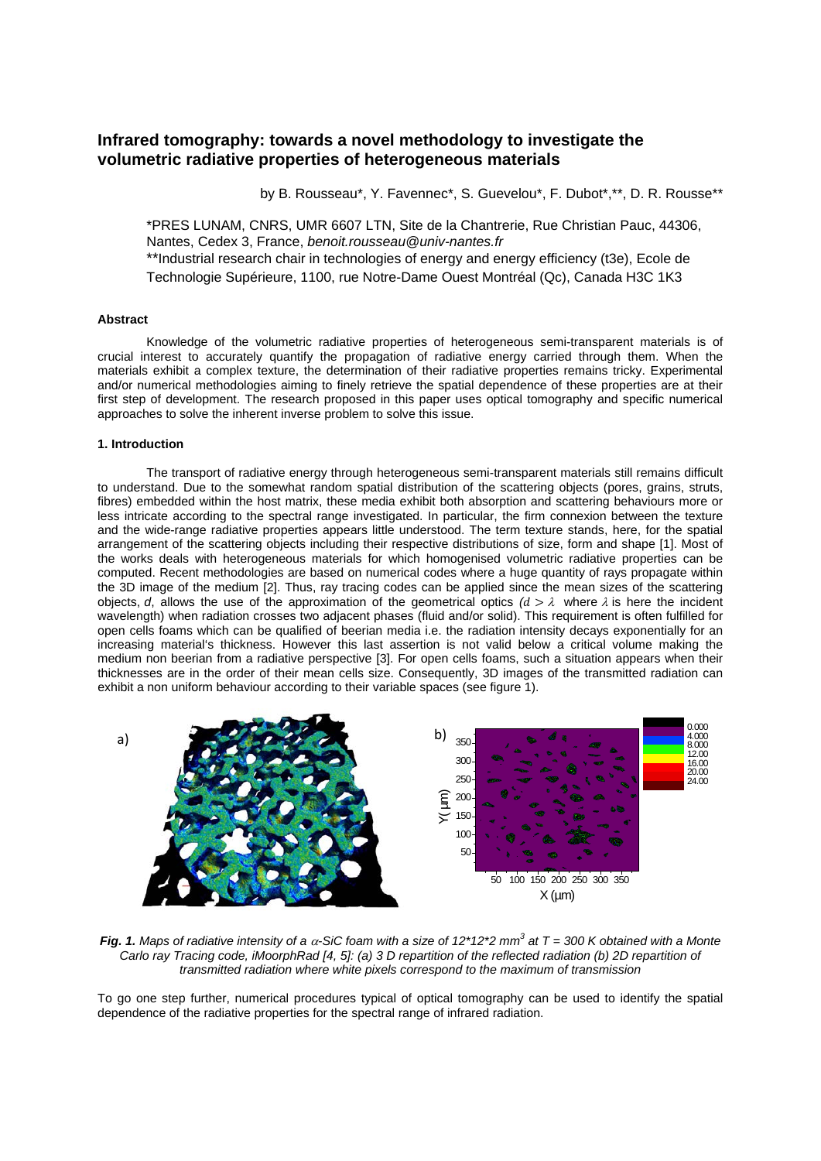# **Infrared tomography: towards a novel methodology to investigate the volumetric radiative properties of heterogeneous materials**

by B. Rousseau\*, Y. Favennec\*, S. Guevelou\*, F. Dubot\*,\*\*, D. R. Rousse\*\*

\*PRES LUNAM, CNRS, UMR 6607 LTN, Site de la Chantrerie, Rue Christian Pauc, 44306, Nantes, Cedex 3, France, *benoit.rousseau@univ-nantes.fr* \*\*Industrial research chair in technologies of energy and energy efficiency (t3e), Ecole de Technologie Supérieure, 1100, rue Notre-Dame Ouest Montréal (Qc), Canada H3C 1K3

## **Abstract**

Knowledge of the volumetric radiative properties of heterogeneous semi-transparent materials is of crucial interest to accurately quantify the propagation of radiative energy carried through them. When the materials exhibit a complex texture, the determination of their radiative properties remains tricky. Experimental and/or numerical methodologies aiming to finely retrieve the spatial dependence of these properties are at their first step of development. The research proposed in this paper uses optical tomography and specific numerical approaches to solve the inherent inverse problem to solve this issue.

### **1. Introduction**

The transport of radiative energy through heterogeneous semi-transparent materials still remains difficult to understand. Due to the somewhat random spatial distribution of the scattering objects (pores, grains, struts, fibres) embedded within the host matrix, these media exhibit both absorption and scattering behaviours more or less intricate according to the spectral range investigated. In particular, the firm connexion between the texture and the wide-range radiative properties appears little understood. The term texture stands, here, for the spatial arrangement of the scattering objects including their respective distributions of size, form and shape [\[1\]](#page-1-0). Most of the works deals with heterogeneous materials for which homogenised volumetric radiative properties can be computed. Recent methodologies are based on numerical codes where a huge quantity of rays propagate within the 3D image of the medium [\[2\]](#page-1-1). Thus, ray tracing codes can be applied since the mean sizes of the scattering objects, *d*, allows the use of the approximation of the geometrical optics  $(d > \lambda)$  where  $\lambda$  is here the incident wavelength) when radiation crosses two adjacent phases (fluid and/or solid). This requirement is often fulfilled for open cells foams which can be qualified of beerian media i.e. the radiation intensity decays exponentially for an increasing material's thickness. However this last assertion is not valid below a critical volume making the medium non beerian from a radiative perspective [\[3\].](#page-1-2) For open cells foams, such a situation appears when their thicknesses are in the order of their mean cells size. Consequently, 3D images of the transmitted radiation can exhibit a non uniform behaviour according to their variable spaces (see figure 1).



*Fig. 1. Maps of radiative intensity of a* α*-SiC foam with a size of 12\*12\*2 mm3 at T = 300 K obtained with a Monte Carlo ray Tracing code, iMoorphRad [\[4,](#page-1-3) [5\]](#page-1-4): (a) 3 D repartition of the reflected radiation (b) 2D repartition of transmitted radiation where white pixels correspond to the maximum of transmission*

To go one step further, numerical procedures typical of optical tomography can be used to identify the spatial dependence of the radiative properties for the spectral range of infrared radiation.